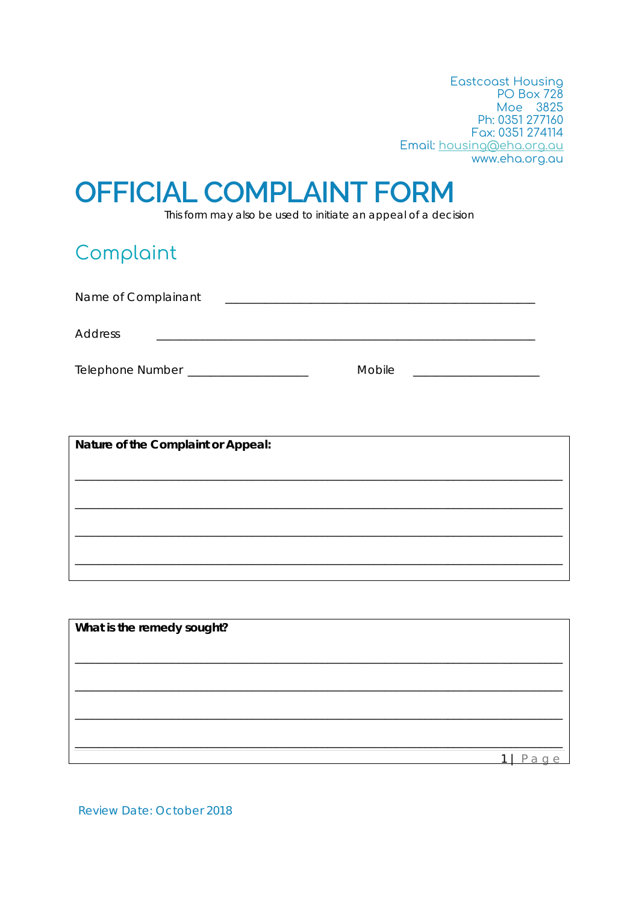**Eastcoast Housing PO Box 728** Moe 3825<br>Ph: 0351 277160 Fax: 0351 274114 Email: housing@eha.org.au www.eha.org.au

# **OFFICIAL COMPLAINT FORM**

This form may also be used to initiate an appeal of a decision

### Complaint

| Name of Complainant     |        |
|-------------------------|--------|
| <b>Address</b>          |        |
| <b>Telephone Number</b> | Mobile |

| Nature of the Complaint or Appeal: |
|------------------------------------|
|                                    |
|                                    |
|                                    |
|                                    |
|                                    |
|                                    |
|                                    |
|                                    |
|                                    |
|                                    |

| What is the remedy sought? |  |  |
|----------------------------|--|--|
|                            |  |  |
|                            |  |  |
|                            |  |  |
|                            |  |  |
|                            |  |  |
|                            |  |  |

**Review Date: October 2018**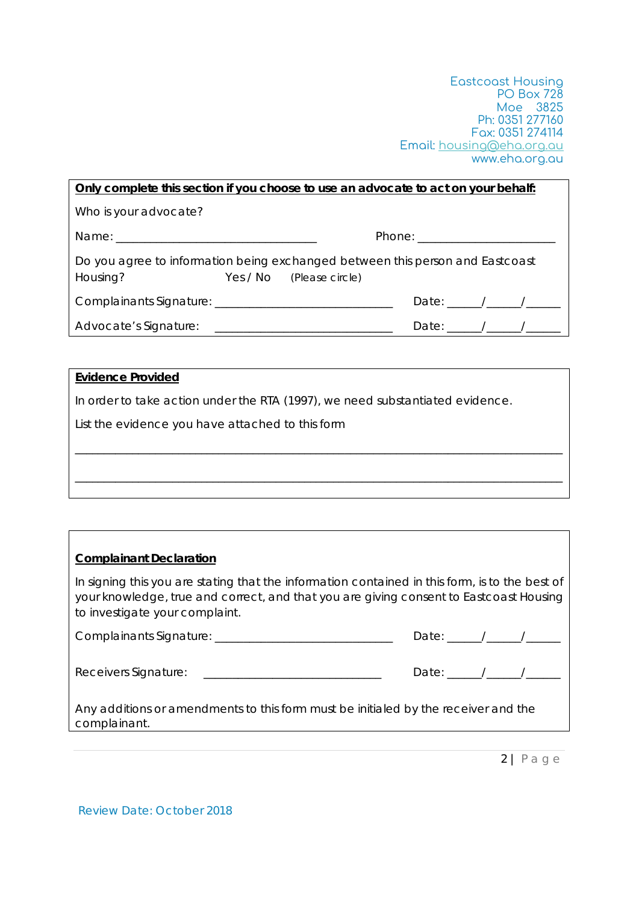Eastcoast Housing PO Box 728 Moe 3825 Ph: 0351 277160 Fax: 0351 274114 Email: housing@eha.org.au www.eha.org.au

| <u>Only complete this section if you choose to use an advocate to act on your behalf:</u> |                          |                                                                                                                                                                                                                                                                                                                                                                                                                          |  |  |
|-------------------------------------------------------------------------------------------|--------------------------|--------------------------------------------------------------------------------------------------------------------------------------------------------------------------------------------------------------------------------------------------------------------------------------------------------------------------------------------------------------------------------------------------------------------------|--|--|
| Who is your advocate?                                                                     |                          |                                                                                                                                                                                                                                                                                                                                                                                                                          |  |  |
|                                                                                           |                          |                                                                                                                                                                                                                                                                                                                                                                                                                          |  |  |
| Do you agree to information being exchanged between this person and Eastcoast<br>Housing? | Yes / No (Please circle) |                                                                                                                                                                                                                                                                                                                                                                                                                          |  |  |
|                                                                                           |                          | Date: $\frac{1}{\sqrt{1-\frac{1}{2}}}\frac{1}{\sqrt{1-\frac{1}{2}}}\frac{1}{\sqrt{1-\frac{1}{2}}}\frac{1}{\sqrt{1-\frac{1}{2}}}\frac{1}{\sqrt{1-\frac{1}{2}}}\frac{1}{\sqrt{1-\frac{1}{2}}}\frac{1}{\sqrt{1-\frac{1}{2}}}\frac{1}{\sqrt{1-\frac{1}{2}}}\frac{1}{\sqrt{1-\frac{1}{2}}}\frac{1}{\sqrt{1-\frac{1}{2}}}\frac{1}{\sqrt{1-\frac{1}{2}}}\frac{1}{\sqrt{1-\frac{1}{2}}}\frac{1}{\sqrt{1-\frac{1}{2}}}\frac{1}{\$ |  |  |
|                                                                                           |                          | Date: $\frac{1}{\sqrt{1-\frac{1}{2}}}\frac{1}{\sqrt{1-\frac{1}{2}}}\frac{1}{\sqrt{1-\frac{1}{2}}}\frac{1}{\sqrt{1-\frac{1}{2}}}\frac{1}{\sqrt{1-\frac{1}{2}}}\frac{1}{\sqrt{1-\frac{1}{2}}}\frac{1}{\sqrt{1-\frac{1}{2}}}\frac{1}{\sqrt{1-\frac{1}{2}}}\frac{1}{\sqrt{1-\frac{1}{2}}}\frac{1}{\sqrt{1-\frac{1}{2}}}\frac{1}{\sqrt{1-\frac{1}{2}}}\frac{1}{\sqrt{1-\frac{1}{2}}}\frac{1}{\sqrt{1-\frac{1}{2}}}\frac{1}{\$ |  |  |

#### **Evidence Provided**

In order to take action under the RTA (1997), we need substantiated evidence.

| List the evidence you have attached to this form |
|--------------------------------------------------|
|--------------------------------------------------|

#### **Complainant Declaration**

In signing this you are stating that the information contained in this form, is to the best of your knowledge, true and correct, and that you are giving consent to Eastcoast Housing to investigate your complaint.

\_\_\_\_\_\_\_\_\_\_\_\_\_\_\_\_\_\_\_\_\_\_\_\_\_\_\_\_\_\_\_\_\_\_\_\_\_\_\_\_\_\_\_\_\_\_\_\_\_\_\_\_\_\_\_\_\_\_\_\_\_\_\_\_\_\_\_\_\_\_\_\_\_\_\_\_\_\_\_\_\_\_\_\_\_

\_\_\_\_\_\_\_\_\_\_\_\_\_\_\_\_\_\_\_\_\_\_\_\_\_\_\_\_\_\_\_\_\_\_\_\_\_\_\_\_\_\_\_\_\_\_\_\_\_\_\_\_\_\_\_\_\_\_\_\_\_\_\_\_\_\_\_\_\_\_\_\_\_\_\_\_\_\_\_\_\_\_\_\_\_

| Complainants Signature: | __ |  |
|-------------------------|----|--|
|                         |    |  |

Any additions or amendments to this form must be initialed by the receiver and the complainant.

2 | Page

Date:  $\sqrt{2\pi}$ 

Review Date: October 2018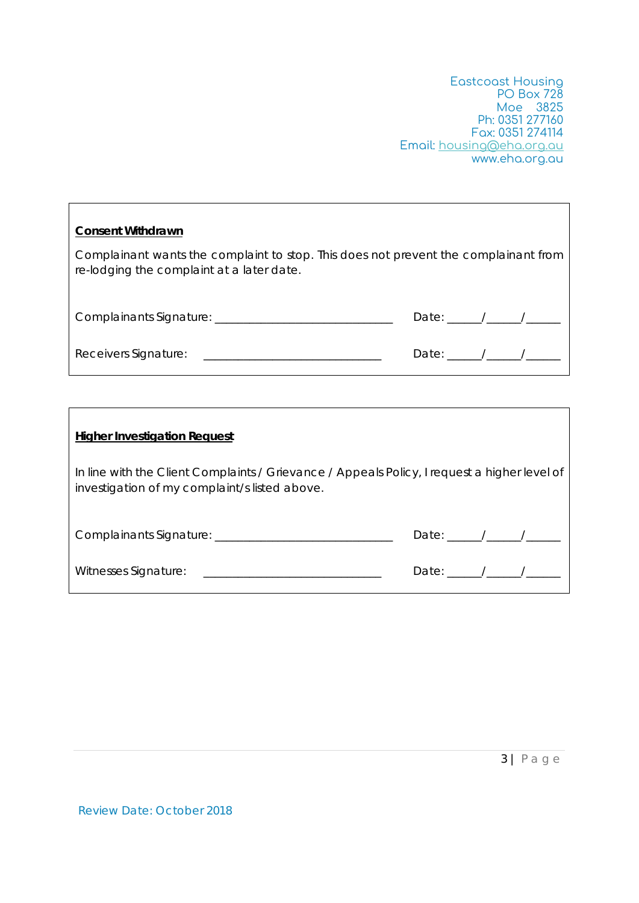Eastcoast Housing PO Box 728 Moe 3825 Ph: 0351 277160 Fax: 0351 274114 Email: housing@eha.org.au www.eha.org.au

| <b>Consent Withdrawn</b>                                                                                                         |                                                                                                                                                                                                                                                                                                                                                                                                                          |
|----------------------------------------------------------------------------------------------------------------------------------|--------------------------------------------------------------------------------------------------------------------------------------------------------------------------------------------------------------------------------------------------------------------------------------------------------------------------------------------------------------------------------------------------------------------------|
| Complainant wants the complaint to stop. This does not prevent the complainant from<br>re-lodging the complaint at a later date. |                                                                                                                                                                                                                                                                                                                                                                                                                          |
|                                                                                                                                  | Date: $\frac{1}{\sqrt{1-\frac{1}{2}}}\frac{1}{\sqrt{1-\frac{1}{2}}}\frac{1}{\sqrt{1-\frac{1}{2}}}\frac{1}{\sqrt{1-\frac{1}{2}}}\frac{1}{\sqrt{1-\frac{1}{2}}}\frac{1}{\sqrt{1-\frac{1}{2}}}\frac{1}{\sqrt{1-\frac{1}{2}}}\frac{1}{\sqrt{1-\frac{1}{2}}}\frac{1}{\sqrt{1-\frac{1}{2}}}\frac{1}{\sqrt{1-\frac{1}{2}}}\frac{1}{\sqrt{1-\frac{1}{2}}}\frac{1}{\sqrt{1-\frac{1}{2}}}\frac{1}{\sqrt{1-\frac{1}{2}}}\frac{1}{\$ |
|                                                                                                                                  | Date: $\frac{1}{\sqrt{1-\frac{1}{2}}}\frac{1}{\sqrt{1-\frac{1}{2}}}\frac{1}{\sqrt{1-\frac{1}{2}}}\frac{1}{\sqrt{1-\frac{1}{2}}}\frac{1}{\sqrt{1-\frac{1}{2}}}\frac{1}{\sqrt{1-\frac{1}{2}}}\frac{1}{\sqrt{1-\frac{1}{2}}}\frac{1}{\sqrt{1-\frac{1}{2}}}\frac{1}{\sqrt{1-\frac{1}{2}}}\frac{1}{\sqrt{1-\frac{1}{2}}}\frac{1}{\sqrt{1-\frac{1}{2}}}\frac{1}{\sqrt{1-\frac{1}{2}}}\frac{1}{\sqrt{1-\frac{1}{2}}}\frac{1}{\$ |

| <b>Higher Investigation Request</b>                                                                                                           |                               |  |
|-----------------------------------------------------------------------------------------------------------------------------------------------|-------------------------------|--|
| In line with the Client Complaints / Grievance / Appeals Policy, I request a higher level of<br>investigation of my complaint/s listed above. |                               |  |
| Complainants Signature: __________________________________                                                                                    | Date: $\frac{1}{\sqrt{2\pi}}$ |  |
|                                                                                                                                               | Date: $\frac{1}{\sqrt{2\pi}}$ |  |

Review Date: October 2018

 $\Gamma$